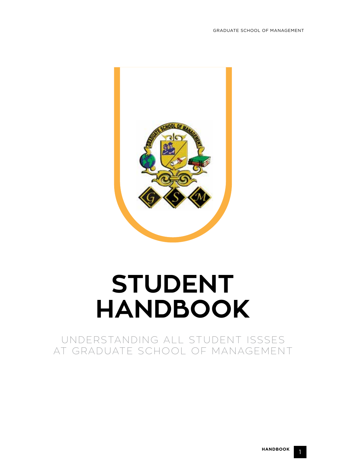

# **STUDENT HANDBOOK**

UNDERSTANDING ALL STUDENT ISSSES AT GRADUATE SCHOOL OF MANAGEMENT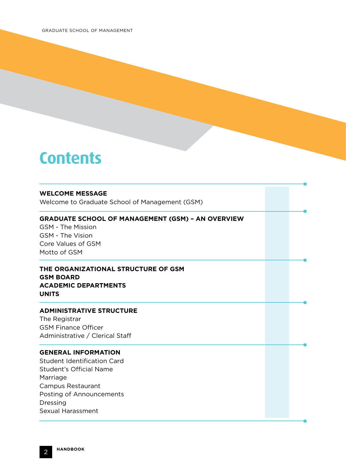# **Contents**

#### **WELCOME MESSAGE**

Welcome to Graduate School of Management (GSM)

#### **GRADUATE SCHOOL OF MANAGEMENT (GSM) – AN OVERVIEW**

GSM - The Mission GSM - The Vision Core Values of GSM Motto of GSM

### **THE ORGANIZATIONAL STRUCTURE OF GSM GSM BOARD ACADEMIC DEPARTMENTS UNITS**

#### **ADMINISTRATIVE STRUCTURE**

The Registrar GSM Finance Officer Administrative / Clerical Staff

#### **GENERAL INFORMATION**

Student Identification Card Student's Official Name Marriage Campus Restaurant Posting of Announcements Dressing Sexual Harassment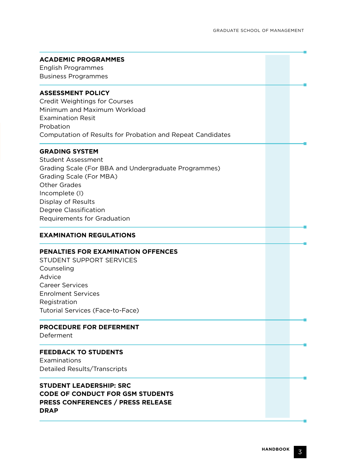| <b>ACADEMIC PROGRAMMES</b>                                 |  |
|------------------------------------------------------------|--|
| English Programmes                                         |  |
| <b>Business Programmes</b>                                 |  |
|                                                            |  |
| <b>ASSESSMENT POLICY</b>                                   |  |
| <b>Credit Weightings for Courses</b>                       |  |
| Minimum and Maximum Workload                               |  |
| <b>Examination Resit</b>                                   |  |
| Probation                                                  |  |
| Computation of Results for Probation and Repeat Candidates |  |
| <b>GRADING SYSTEM</b>                                      |  |
| <b>Student Assessment</b>                                  |  |
| Grading Scale (For BBA and Undergraduate Programmes)       |  |
| Grading Scale (For MBA)                                    |  |
| <b>Other Grades</b>                                        |  |
| Incomplete (I)                                             |  |
| Display of Results                                         |  |
| Degree Classification                                      |  |
| Requirements for Graduation                                |  |
|                                                            |  |
| <b>EXAMINATION REGULATIONS</b>                             |  |
| <b>PENALTIES FOR EXAMINATION OFFENCES</b>                  |  |
| STUDENT SUPPORT SERVICES                                   |  |
| Counseling                                                 |  |
| Advice                                                     |  |
| <b>Career Services</b>                                     |  |
| <b>Enrolment Services</b>                                  |  |
| Registration                                               |  |
| Tutorial Services (Face-to-Face)                           |  |
|                                                            |  |
| <b>PROCEDURE FOR DEFERMENT</b><br>Deferment                |  |
|                                                            |  |
| <b>FEEDBACK TO STUDENTS</b>                                |  |
| Examinations                                               |  |
| <b>Detailed Results/Transcripts</b>                        |  |
| <b>STUDENT LEADERSHIP: SRC</b>                             |  |
|                                                            |  |
|                                                            |  |
| <b>CODE OF CONDUCT FOR GSM STUDENTS</b>                    |  |
| <b>PRESS CONFERENCES / PRESS RELEASE</b><br><b>DRAP</b>    |  |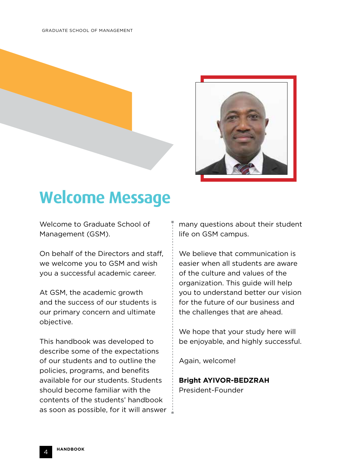

# **Welcome Message**

Welcome to Graduate School of Management (GSM).

On behalf of the Directors and staff, we welcome you to GSM and wish you a successful academic career.

At GSM, the academic growth and the success of our students is our primary concern and ultimate objective.

This handbook was developed to describe some of the expectations of our students and to outline the policies, programs, and benefits available for our students. Students should become familiar with the contents of the students' handbook as soon as possible, for it will answer  $\pm$ 

many questions about their student life on GSM campus.

We believe that communication is easier when all students are aware of the culture and values of the organization. This guide will help you to understand better our vision for the future of our business and the challenges that are ahead.

We hope that your study here will be enjoyable, and highly successful.

Again, welcome!

# **Bright AYIVOR-BEDZRAH** President-Founder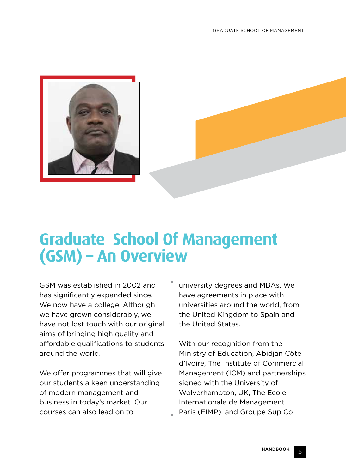

# **Graduate School Of Management (GSM) – An Overview**

GSM was established in 2002 and has significantly expanded since. We now have a college. Although we have grown considerably, we have not lost touch with our original aims of bringing high quality and affordable qualifications to students around the world.

We offer programmes that will give our students a keen understanding of modern management and business in today's market. Our courses can also lead on to

university degrees and MBAs. We have agreements in place with universities around the world, from the United Kingdom to Spain and the United States.

With our recognition from the Ministry of Education, Abidjan Côte d'Ivoire, The Institute of Commercial Management (ICM) and partnerships signed with the University of Wolverhampton, UK, The Ecole Internationale de Management Paris (EIMP), and Groupe Sup Co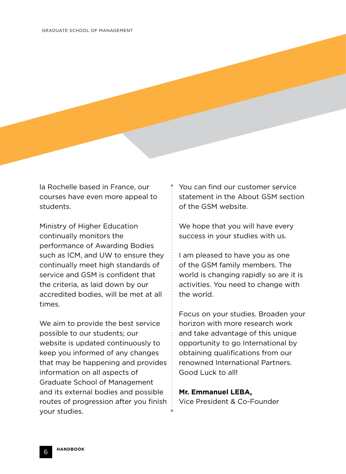la Rochelle based in France, our courses have even more appeal to students.

Ministry of Higher Education continually monitors the performance of Awarding Bodies such as ICM, and UW to ensure they continually meet high standards of service and GSM is confident that the criteria, as laid down by our accredited bodies, will be met at all times.

We aim to provide the best service possible to our students; our website is updated continuously to keep you informed of any changes that may be happening and provides information on all aspects of Graduate School of Management and its external bodies and possible routes of progression after you finish your studies.

You can find our customer service statement in the About GSM section of the GSM website.

We hope that you will have every success in your studies with us.

I am pleased to have you as one of the GSM family members. The world is changing rapidly so are it is activities. You need to change with the world.

Focus on your studies. Broaden your horizon with more research work and take advantage of this unique opportunity to go International by obtaining qualifications from our renowned International Partners. Good Luck to all!

#### **Mr. Emmanuel LEBA,**

Vice President & Co-Founder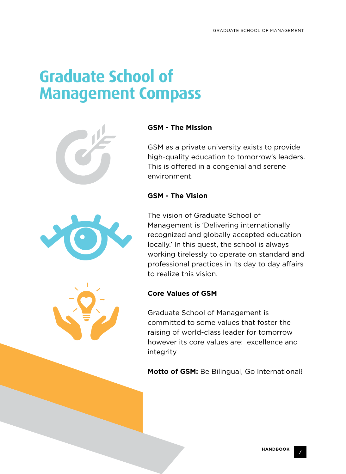# **Graduate School of Management Compass**





### **GSM - The Mission**

GSM as a private university exists to provide high-quality education to tomorrow's leaders. This is offered in a congenial and serene environment.

## **GSM - The Vision**

The vision of Graduate School of Management is 'Delivering internationally recognized and globally accepted education locally.' In this quest, the school is always working tirelessly to operate on standard and professional practices in its day to day affairs to realize this vision.

### **Core Values of GSM**

Graduate School of Management is committed to some values that foster the raising of world-class leader for tomorrow however its core values are: excellence and integrity

**Motto of GSM:** Be Bilingual, Go International!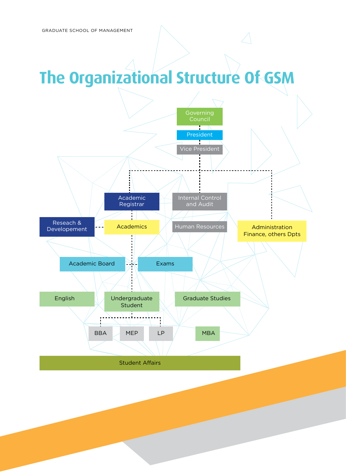**HANDBOOK** 8

# **The Organizational Structure Of GSM**

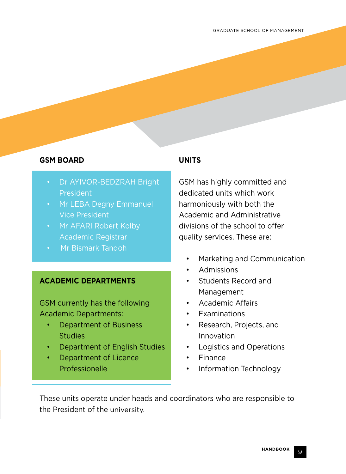# **GSM BOARD**

- Dr AYIVOR-BEDZRAH Bright President
- Mr LEBA Degny Emmanuel Vice President
- Mr AFARI Robert Kolby Academic Registrar
- Mr Bismark Tandoh

### **ACADEMIC DEPARTMENTS**

GSM currently has the following Academic Departments:

- Department of Business **Studies**
- Department of English Studies
- Department of Licence Professionelle

# **UNITS**

GSM has highly committed and dedicated units which work harmoniously with both the Academic and Administrative divisions of the school to offer quality services. These are:

- Marketing and Communication
- Admissions
- Students Record and Management
- Academic Affairs
- **Examinations**
- Research, Projects, and Innovation
- Logistics and Operations
- Finance
- Information Technology

These units operate under heads and coordinators who are responsible to the President of the university.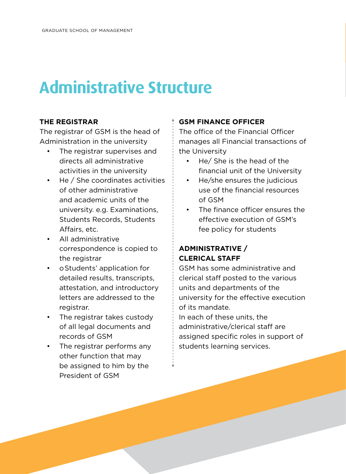# **Administrative Structure**

### **THE REGISTRAR**

The registrar of GSM is the head of Administration in the university

- The registrar supervises and directs all administrative activities in the university
- He / She coordinates activities of other administrative and academic units of the university. e.g. Examinations, Students Records, Students Affairs, etc.
- All administrative correspondence is copied to the registrar
- oStudents' application for detailed results, transcripts, attestation, and introductory letters are addressed to the registrar.
- The registrar takes custody of all legal documents and records of GSM
- The registrar performs any other function that may be assigned to him by the President of GSM

## **GSM FINANCE OFFICER**

The office of the Financial Officer manages all Financial transactions of the University

- He/ She is the head of the financial unit of the University
- He/she ensures the judicious use of the financial resources of GSM
- The finance officer ensures the effective execution of GSM's fee policy for students

# **ADMINISTRATIVE / CLERICAL STAFF**

GSM has some administrative and clerical staff posted to the various units and departments of the university for the effective execution of its mandate.

In each of these units, the administrative/clerical staff are assigned specific roles in support of students learning services.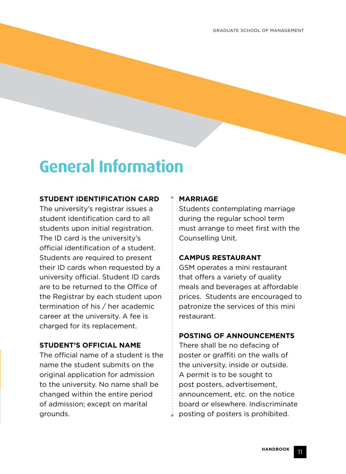# **General Information**

### **STUDENT IDENTIFICATION CARD**

The university's registrar issues a student identification card to all students upon initial registration. The ID card is the university's official identification of a student. Students are required to present their ID cards when requested by a university official. Student ID cards are to be returned to the Office of the Registrar by each student upon termination of his / her academic career at the university. A fee is charged for its replacement.

### **STUDENT'S OFFICIAL NAME**

The official name of a student is the name the student submits on the original application for admission to the university. No name shall be changed within the entire period of admission; except on marital grounds.

#### **MARRIAGE**

Students contemplating marriage during the regular school term must arrange to meet first with the Counselling Unit.

### **CAMPUS RESTAURANT**

GSM operates a mini restaurant that offers a variety of quality meals and beverages at affordable prices. Students are encouraged to patronize the services of this mini restaurant.

#### **POSTING OF ANNOUNCEMENTS**

There shall be no defacing of poster or graffiti on the walls of the university, inside or outside. A permit is to be sought to post posters, advertisement, announcement, etc. on the notice board or elsewhere. Indiscriminate posting of posters is prohibited.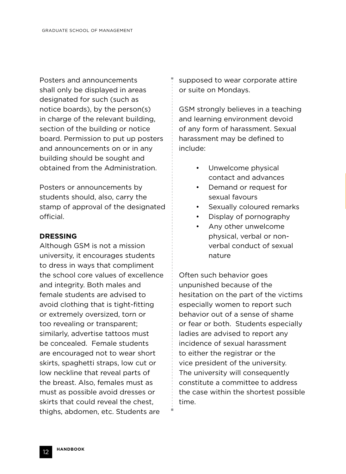Posters and announcements shall only be displayed in areas designated for such (such as notice boards), by the person(s) in charge of the relevant building, section of the building or notice board. Permission to put up posters and announcements on or in any building should be sought and obtained from the Administration.

Posters or announcements by students should, also, carry the stamp of approval of the designated official.

#### **DRESSING**

Although GSM is not a mission university, it encourages students to dress in ways that compliment the school core values of excellence and integrity. Both males and female students are advised to avoid clothing that is tight-fitting or extremely oversized, torn or too revealing or transparent; similarly, advertise tattoos must be concealed. Female students are encouraged not to wear short skirts, spaghetti straps, low cut or low neckline that reveal parts of the breast. Also, females must as must as possible avoid dresses or skirts that could reveal the chest, thighs, abdomen, etc. Students are

supposed to wear corporate attire or suite on Mondays.

GSM strongly believes in a teaching and learning environment devoid of any form of harassment. Sexual harassment may be defined to include:

- Unwelcome physical contact and advances
- Demand or request for sexual favours
- Sexually coloured remarks
- Display of pornography
- Any other unwelcome physical, verbal or nonverbal conduct of sexual nature

Often such behavior goes unpunished because of the hesitation on the part of the victims especially women to report such behavior out of a sense of shame or fear or both. Students especially ladies are advised to report any incidence of sexual harassment to either the registrar or the vice president of the university. The university will consequently constitute a committee to address the case within the shortest possible time.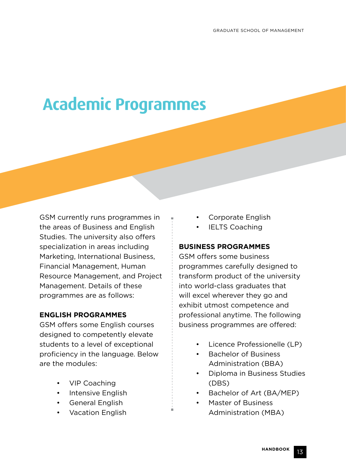# **Academic Programmes**

GSM currently runs programmes in the areas of Business and English Studies. The university also offers specialization in areas including Marketing, International Business, Financial Management, Human Resource Management, and Project Management. Details of these programmes are as follows:

### **ENGLISH PROGRAMMES**

GSM offers some English courses designed to competently elevate students to a level of exceptional proficiency in the language. Below are the modules:

- VIP Coaching
- Intensive English
- General English
- Vacation English
- Corporate English
- **IELTS Coaching**

#### **BUSINESS PROGRAMMES**

GSM offers some business programmes carefully designed to transform product of the university into world-class graduates that will excel wherever they go and exhibit utmost competence and professional anytime. The following business programmes are offered:

- Licence Professionelle (LP)
- Bachelor of Business Administration (BBA)
- Diploma in Business Studies (DBS)
- Bachelor of Art (BA/MEP)
- Master of Business Administration (MBA)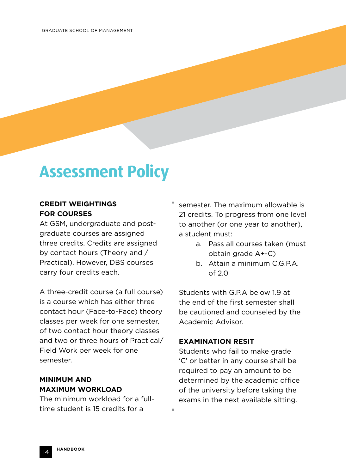# **Assessment Policy**

### **CREDIT WEIGHTINGS FOR COURSES**

At GSM, undergraduate and postgraduate courses are assigned three credits. Credits are assigned by contact hours (Theory and / Practical). However, DBS courses carry four credits each.

A three-credit course (a full course) is a course which has either three contact hour (Face-to-Face) theory classes per week for one semester, of two contact hour theory classes and two or three hours of Practical/ Field Work per week for one semester.

# **MINIMUM AND MAXIMUM WORKLOAD**

The minimum workload for a fulltime student is 15 credits for a

semester. The maximum allowable is 21 credits. To progress from one level to another (or one year to another), a student must:

- a. Pass all courses taken (must obtain grade A+-C)
- b. Attain a minimum C.G.P.A. of 2.0

Students with G.P.A below 1.9 at the end of the first semester shall be cautioned and counseled by the Academic Advisor.

### **EXAMINATION RESIT**

Students who fail to make grade 'C' or better in any course shall be required to pay an amount to be determined by the academic office of the university before taking the exams in the next available sitting.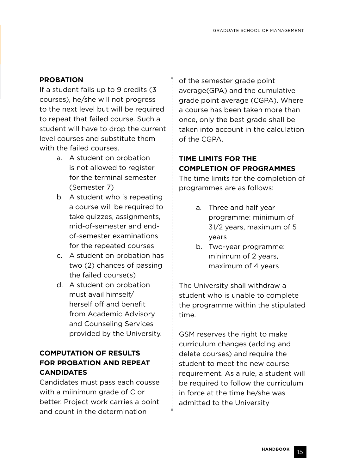# **PROBATION**

If a student fails up to 9 credits (3 courses), he/she will not progress to the next level but will be required to repeat that failed course. Such a student will have to drop the current level courses and substitute them with the failed courses.

- a. A student on probation is not allowed to register for the terminal semester (Semester 7)
- b. A student who is repeating a course will be required to take quizzes, assignments, mid-of-semester and endof-semester examinations for the repeated courses
- c. A student on probation has two (2) chances of passing the failed course(s)
- d. A student on probation must avail himself/ herself off and benefit from Academic Advisory and Counseling Services provided by the University.

# **COMPUTATION OF RESULTS FOR PROBATION AND REPEAT CANDIDATES**

Candidates must pass each cousse with a miinimum grade of C or better. Project work carries a point and count in the determination

of the semester grade point average(GPA) and the cumulative grade point average (CGPA). Where a course has been taken more than once, only the best grade shall be taken into account in the calculation of the CGPA.

# **TIME LIMITS FOR THE COMPLETION OF PROGRAMMES**

The time limits for the completion of programmes are as follows:

- a. Three and half year programme: minimum of 31/2 years, maximum of 5 years
- b. Two-year programme: minimum of 2 years, maximum of 4 years

The University shall withdraw a student who is unable to complete the programme within the stipulated time.

GSM reserves the right to make curriculum changes (adding and delete courses) and require the student to meet the new course requirement. As a rule, a student will be required to follow the curriculum in force at the time he/she was admitted to the University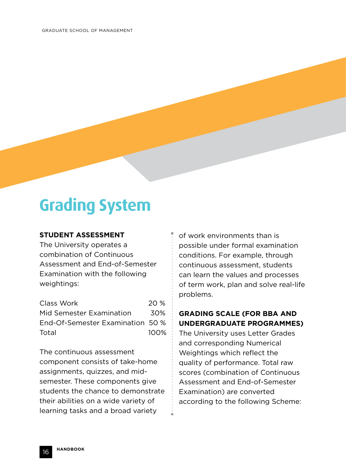# **Grading System**

### **STUDENT ASSESSMENT**

The University operates a combination of Continuous Assessment and End-of-Semester Examination with the following weightings:

| 20 %                             |
|----------------------------------|
| 30%                              |
| End-Of-Semester Examination 50 % |
| $100\%$                          |
|                                  |

The continuous assessment component consists of take-home assignments, quizzes, and midsemester. These components give students the chance to demonstrate their abilities on a wide variety of learning tasks and a broad variety

of work environments than is possible under formal examination conditions. For example, through continuous assessment, students can learn the values and processes of term work, plan and solve real-life problems.

# **GRADING SCALE (FOR BBA AND UNDERGRADUATE PROGRAMMES)**

The University uses Letter Grades and corresponding Numerical Weightings which reflect the quality of performance. Total raw scores (combination of Continuous Assessment and End-of-Semester Examination) are converted according to the following Scheme: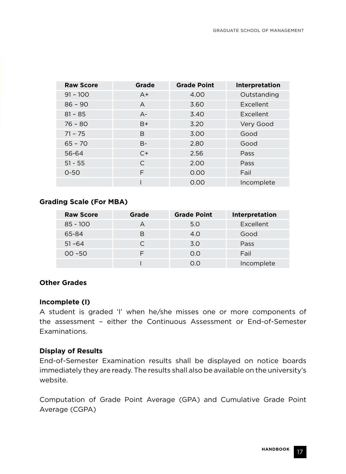| <b>Raw Score</b> | Grade          | <b>Grade Point</b> | Interpretation |
|------------------|----------------|--------------------|----------------|
| $91 - 100$       | $A+$           | 4.00               | Outstanding    |
| $86 - 90$        | $\overline{A}$ | 3.60               | Excellent      |
| $81 - 85$        | $A-$           | 3.40               | Excellent      |
| $76 - 80$        | $B+$           | 3.20               | Very Good      |
| $71 - 75$        | B              | 3.00               | Good           |
| $65 - 70$        | B-             | 2.80               | Good           |
| 56-64            | $C+$           | 2.56               | Pass           |
| $51 - 55$        | C              | 2.00               | Pass           |
| $0 - 50$         | F              | 0.00               | Fail           |
|                  |                | 0.00               | Incomplete     |

### **Grading Scale (For MBA)**

| <b>Raw Score</b> | Grade     | <b>Grade Point</b> | <b>Interpretation</b> |
|------------------|-----------|--------------------|-----------------------|
| $85 - 100$       | $\forall$ | 5.0                | Excellent             |
| 65-84            | В         | 4.0                | Good                  |
| $51 - 64$        |           | 3.0                | Pass                  |
| $00 - 50$        |           | O.O                | Fail                  |
|                  |           | 0.0                | Incomplete            |

### **Other Grades**

#### **Incomplete (I)**

A student is graded 'I' when he/she misses one or more components of the assessment – either the Continuous Assessment or End-of-Semester Examinations.

#### **Display of Results**

End-of-Semester Examination results shall be displayed on notice boards immediately they are ready. The results shall also be available on the university's website.

Computation of Grade Point Average (GPA) and Cumulative Grade Point Average (CGPA)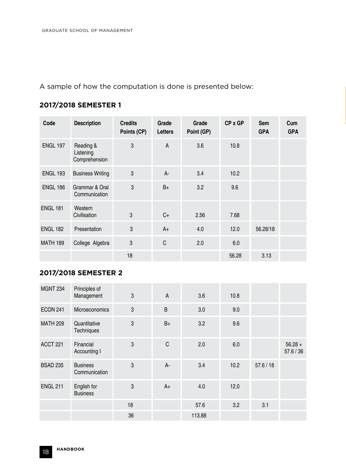A sample of how the computation is done is presented below:

# **2017/2018 SEMESTER 1**

| Code            | <b>Description</b>                      | <b>Credits</b><br>Points (CP) | Grade<br>Letters | Grade<br>Point (GP) | CP x GP | <b>Sem</b><br><b>GPA</b> | Cum<br><b>GPA</b> |
|-----------------|-----------------------------------------|-------------------------------|------------------|---------------------|---------|--------------------------|-------------------|
| <b>ENGL 197</b> | Reading &<br>Listening<br>Comprehension | 3                             | A                | 3.6                 | 10.8    |                          |                   |
| <b>ENGL 193</b> | <b>Business Writing</b>                 | 3                             | $A -$            | 3.4                 | 10.2    |                          |                   |
| <b>ENGL 186</b> | Grammar & Oral<br>Communication         | 3                             | $B+$             | 3.2                 | 9.6     |                          |                   |
| <b>ENGL 181</b> | Western<br>Civilisation                 | 3                             | $C+$             | 2.56                | 7.68    |                          |                   |
| <b>ENGL 182</b> | Presentation                            | 3                             | $A+$             | 4.0                 | 12.0    | 56.28/18                 |                   |
| <b>MATH 189</b> | College Algebra                         | 3                             | C                | 2.0                 | 6.0     |                          |                   |
|                 |                                         | 18                            |                  |                     | 56.28   | 3.13                     |                   |

# **2017/2018 SEMESTER 2**

| <b>MGNT 234</b> | Principles of<br>Management      | 3  | $\overline{A}$ | 3.6    | 10.8 |         |                        |
|-----------------|----------------------------------|----|----------------|--------|------|---------|------------------------|
| <b>ECON 241</b> | Microeconomics                   | 3  | B              | 3.0    | 9.0  |         |                        |
| <b>MATH 209</b> | Quantitative<br>Techniques       | 3  | $B+$           | 3.2    | 9.6  |         |                        |
| <b>ACCT 221</b> | Financial<br>Accounting I        | 3  | C              | 2.0    | 6.0  |         | $56.28 +$<br>57.6 / 36 |
| <b>BSAD 235</b> | <b>Business</b><br>Communication | 3  | $A -$          | 3.4    | 10.2 | 57.6/18 |                        |
| <b>ENGL 211</b> | English for<br><b>Business</b>   | 3  | $A+$           | 4.0    | 12.0 |         |                        |
|                 |                                  | 18 |                | 57.6   | 3.2  | 3.1     |                        |
|                 |                                  | 36 |                | 113.88 |      |         |                        |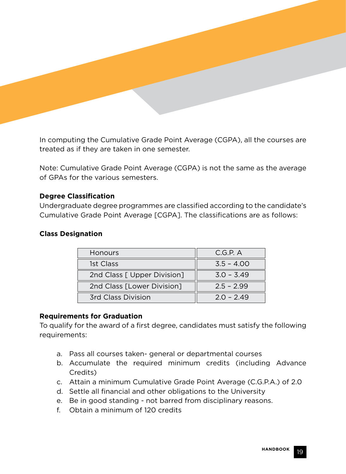

In computing the Cumulative Grade Point Average (CGPA), all the courses are treated as if they are taken in one semester.

Note: Cumulative Grade Point Average (CGPA) is not the same as the average of GPAs for the various semesters.

### **Degree Classification**

Undergraduate degree programmes are classified according to the candidate's Cumulative Grade Point Average [CGPA]. The classifications are as follows:

### **Class Designation**

| <b>Honours</b>              | C.G.P. A     |
|-----------------------------|--------------|
| 1st Class                   | $3.5 - 4.00$ |
| 2nd Class [ Upper Division] | $3.0 - 3.49$ |
| 2nd Class [Lower Division]  | $2.5 - 2.99$ |
| <b>3rd Class Division</b>   | $2.0 - 2.49$ |

### **Requirements for Graduation**

To qualify for the award of a first degree, candidates must satisfy the following requirements:

- a. Pass all courses taken- general or departmental courses
- b. Accumulate the required minimum credits (including Advance Credits)
- c. Attain a minimum Cumulative Grade Point Average (C.G.P.A.) of 2.0
- d. Settle all financial and other obligations to the University
- e. Be in good standing not barred from disciplinary reasons.
- f. Obtain a minimum of 120 credits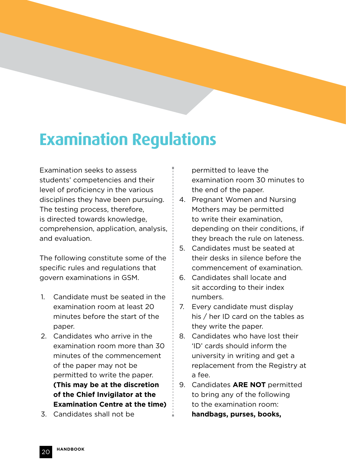# **Examination Regulations**

Examination seeks to assess students' competencies and their level of proficiency in the various disciplines they have been pursuing. The testing process, therefore, is directed towards knowledge, comprehension, application, analysis, and evaluation.

The following constitute some of the specific rules and regulations that govern examinations in GSM.

- 1. Candidate must be seated in the examination room at least 20 minutes before the start of the paper.
- 2. Candidates who arrive in the examination room more than 30 minutes of the commencement of the paper may not be permitted to write the paper. **(This may be at the discretion of the Chief Invigilator at the Examination Centre at the time)**
- 3. Candidates shall not be

permitted to leave the examination room 30 minutes to the end of the paper.

- 4. Pregnant Women and Nursing Mothers may be permitted to write their examination, depending on their conditions, if they breach the rule on lateness.
- 5. Candidates must be seated at their desks in silence before the commencement of examination.
- 6. Candidates shall locate and sit according to their index numbers.
- 7. Every candidate must display his / her ID card on the tables as they write the paper.
- 8. Candidates who have lost their 'ID' cards should inform the university in writing and get a replacement from the Registry at a fee.
- 9. Candidates **ARE NOT** permitted to bring any of the following to the examination room: **handbags, purses, books,**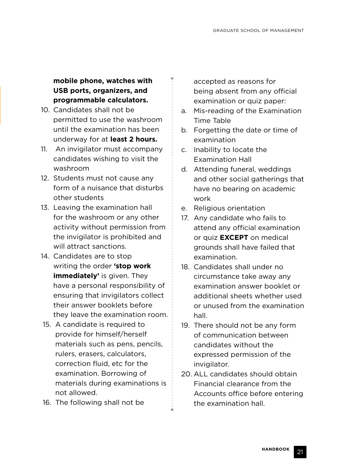**mobile phone, watches with USB ports, organizers, and programmable calculators.**

- 10. Candidates shall not be permitted to use the washroom until the examination has been underway for at **least 2 hours.**
- 11. An invigilator must accompany candidates wishing to visit the washroom
- 12. Students must not cause any form of a nuisance that disturbs other students
- 13. Leaving the examination hall for the washroom or any other activity without permission from the invigilator is prohibited and will attract sanctions.
- 14. Candidates are to stop writing the order **'stop work immediately'** is given. They have a personal responsibility of ensuring that invigilators collect their answer booklets before they leave the examination room.
- 15. A candidate is required to provide for himself/herself materials such as pens, pencils, rulers, erasers, calculators, correction fluid, etc for the examination. Borrowing of materials during examinations is not allowed.
- 16. The following shall not be

accepted as reasons for being absent from any official examination or quiz paper:

- a. Mis-reading of the Examination Time Table
- b. Forgetting the date or time of examination
- c. Inability to locate the Examination Hall
- d. Attending funeral, weddings and other social gatherings that have no bearing on academic work
- e. Religious orientation
- 17. Any candidate who fails to attend any official examination or quiz **EXCEPT** on medical grounds shall have failed that examination.
- 18. Candidates shall under no circumstance take away any examination answer booklet or additional sheets whether used or unused from the examination hall.
- 19. There should not be any form of communication between candidates without the expressed permission of the invigilator.
- 20. ALL candidates should obtain Financial clearance from the Accounts office before entering the examination hall.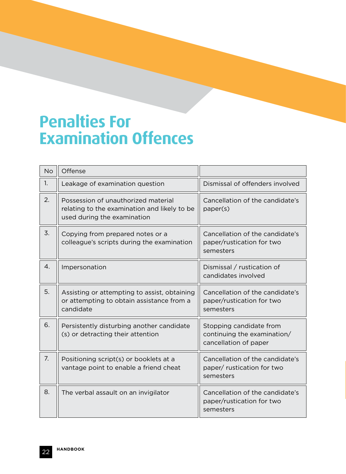# **Penalties For Examination Offences**

| <b>No</b>      | Offense                                                                                                            |                                                                                 |
|----------------|--------------------------------------------------------------------------------------------------------------------|---------------------------------------------------------------------------------|
| 1.             | Leakage of examination question                                                                                    | Dismissal of offenders involved                                                 |
| 2.             | Possession of unauthorized material<br>relating to the examination and likely to be<br>used during the examination | Cancellation of the candidate's<br>paper(s)                                     |
| 3.             | Copying from prepared notes or a<br>colleague's scripts during the examination                                     | Cancellation of the candidate's<br>paper/rustication for two<br>semesters       |
| $\mathbf{4}$ . | Impersonation                                                                                                      | Dismissal / rustication of<br>candidates involved                               |
| 5.             | Assisting or attempting to assist, obtaining<br>or attempting to obtain assistance from a<br>candidate             | Cancellation of the candidate's<br>paper/rustication for two<br>semesters       |
| 6.             | Persistently disturbing another candidate<br>(s) or detracting their attention                                     | Stopping candidate from<br>continuing the examination/<br>cancellation of paper |
| 7.             | Positioning script(s) or booklets at a<br>vantage point to enable a friend cheat                                   | Cancellation of the candidate's<br>paper/ rustication for two<br>semesters      |
| 8.             | The verbal assault on an invigilator                                                                               | Cancellation of the candidate's<br>paper/rustication for two<br>semesters       |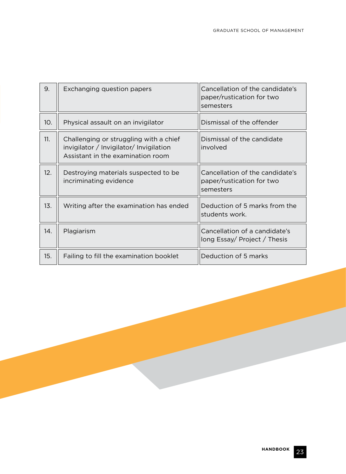| 9.  | Exchanging question papers                                                                                             | Cancellation of the candidate's<br>paper/rustication for two<br>semesters |
|-----|------------------------------------------------------------------------------------------------------------------------|---------------------------------------------------------------------------|
| 10. | Physical assault on an invigilator                                                                                     | Dismissal of the offender                                                 |
| 11. | Challenging or struggling with a chief<br>invigilator / Invigilator/ Invigilation<br>Assistant in the examination room | Dismissal of the candidate<br>involved                                    |
| 12. | Destroying materials suspected to be<br>incriminating evidence                                                         | Cancellation of the candidate's<br>paper/rustication for two<br>semesters |
| 13. | Writing after the examination has ended                                                                                | Deduction of 5 marks from the<br>students work.                           |
| 14. | Plagiarism                                                                                                             | Cancellation of a candidate's<br>long Essay/ Project / Thesis             |
| 15. | Failing to fill the examination booklet                                                                                | Deduction of 5 marks                                                      |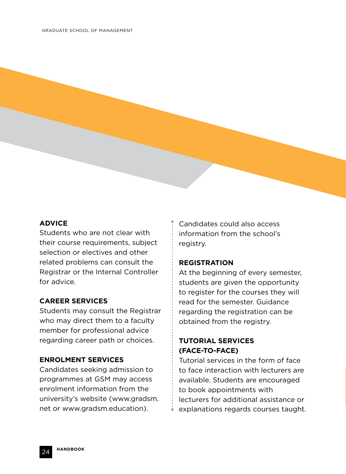### **ADVICE**

Students who are not clear with their course requirements, subject selection or electives and other related problems can consult the Registrar or the Internal Controller for advice.

#### **CAREER SERVICES**

Students may consult the Registrar who may direct them to a faculty member for professional advice regarding career path or choices.

#### **ENROLMENT SERVICES**

Candidates seeking admission to programmes at GSM may access enrolment information from the university's website (www.gradsm. net or www.gradsm.education).

Candidates could also access information from the school's registry.

#### **REGISTRATION**

At the beginning of every semester, students are given the opportunity to register for the courses they will read for the semester. Guidance regarding the registration can be obtained from the registry.

# **TUTORIAL SERVICES (FACE-TO-FACE)**

Tutorial services in the form of face to face interaction with lecturers are available. Students are encouraged to book appointments with lecturers for additional assistance or explanations regards courses taught.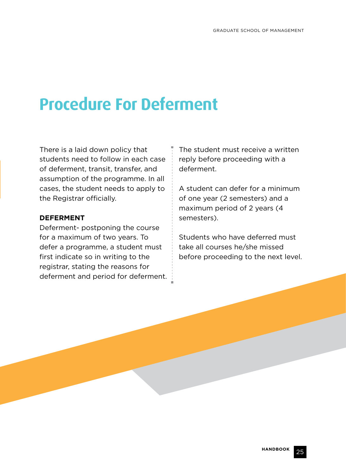# **Procedure For Deferment**

There is a laid down policy that students need to follow in each case of deferment, transit, transfer, and assumption of the programme. In all cases, the student needs to apply to the Registrar officially.

### **DEFERMENT**

Deferment- postponing the course for a maximum of two years. To defer a programme, a student must first indicate so in writing to the registrar, stating the reasons for deferment and period for deferment. The student must receive a written reply before proceeding with a deferment.

A student can defer for a minimum of one year (2 semesters) and a maximum period of 2 years (4 semesters).

Students who have deferred must take all courses he/she missed before proceeding to the next level.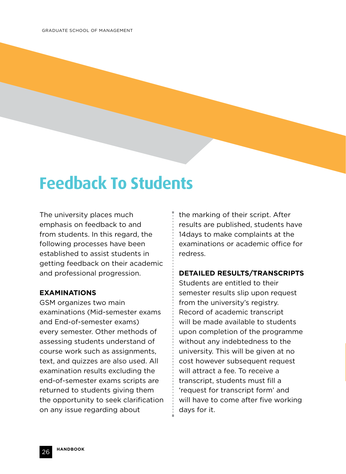# **Feedback To Students**

The university places much emphasis on feedback to and from students. In this regard, the following processes have been established to assist students in getting feedback on their academic and professional progression.

#### **EXAMINATIONS**

GSM organizes two main examinations (Mid-semester exams and End-of-semester exams) every semester. Other methods of assessing students understand of course work such as assignments, text, and quizzes are also used. All examination results excluding the end-of-semester exams scripts are returned to students giving them the opportunity to seek clarification on any issue regarding about

the marking of their script. After results are published, students have 14days to make complaints at the examinations or academic office for redress.

### **DETAILED RESULTS/TRANSCRIPTS**

Students are entitled to their semester results slip upon request from the university's registry. Record of academic transcript will be made available to students upon completion of the programme without any indebtedness to the university. This will be given at no cost however subsequent request will attract a fee. To receive a transcript, students must fill a 'request for transcript form' and will have to come after five working days for it.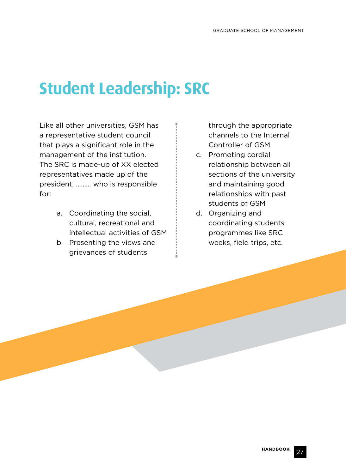# **Student Leadership: SRC**

Like all other universities, GSM has a representative student council that plays a significant role in the management of the institution. The SRC is made-up of XX elected representatives made up of the president, ……… who is responsible for:

- a. Coordinating the social, cultural, recreational and intellectual activities of GSM
- b. Presenting the views and grievances of students

through the appropriate channels to the Internal Controller of GSM

- c. Promoting cordial relationship between all sections of the university and maintaining good relationships with past students of GSM
- d. Organizing and coordinating students programmes like SRC weeks, field trips, etc.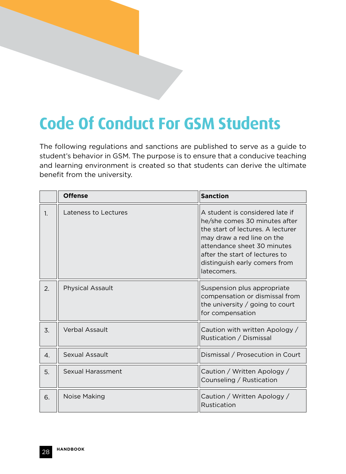# **Code Of Conduct For GSM Students**

The following regulations and sanctions are published to serve as a guide to student's behavior in GSM. The purpose is to ensure that a conducive teaching and learning environment is created so that students can derive the ultimate benefit from the university.

|                | <b>Offense</b>          | <b>Sanction</b>                                                                                                                                                                                                                                      |
|----------------|-------------------------|------------------------------------------------------------------------------------------------------------------------------------------------------------------------------------------------------------------------------------------------------|
| 1.             | Lateness to Lectures    | A student is considered late if<br>he/she comes 30 minutes after<br>the start of lectures. A lecturer<br>may draw a red line on the<br>attendance sheet 30 minutes<br>after the start of lectures to<br>distinguish early comers from<br>latecomers. |
| 2.             | <b>Physical Assault</b> | Suspension plus appropriate<br>compensation or dismissal from<br>the university $\frac{1}{2}$ going to court<br>for compensation                                                                                                                     |
| 3.             | Verbal Assault          | Caution with written Apology /<br>Rustication / Dismissal                                                                                                                                                                                            |
| $\mathbf{4}$ . | Sexual Assault          | Dismissal / Prosecution in Court                                                                                                                                                                                                                     |
| 5.             | Sexual Harassment       | Caution / Written Apology /<br>Counseling / Rustication                                                                                                                                                                                              |
| 6.             | Noise Making            | Caution / Written Apology /<br>Rustication                                                                                                                                                                                                           |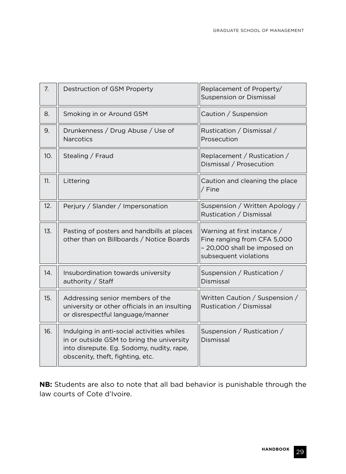| 7.  | Destruction of GSM Property                                                                                                                                              | Replacement of Property/<br><b>Suspension or Dismissal</b>                                                          |
|-----|--------------------------------------------------------------------------------------------------------------------------------------------------------------------------|---------------------------------------------------------------------------------------------------------------------|
| 8.  | Smoking in or Around GSM                                                                                                                                                 | Caution / Suspension                                                                                                |
| 9.  | Drunkenness / Drug Abuse / Use of<br><b>Narcotics</b>                                                                                                                    | Rustication / Dismissal /<br>Prosecution                                                                            |
| 10. | Stealing / Fraud                                                                                                                                                         | Replacement / Rustication /<br>Dismissal / Prosecution                                                              |
| 11. | Littering                                                                                                                                                                | Caution and cleaning the place<br>/ Fine                                                                            |
| 12. | Perjury / Slander / Impersonation                                                                                                                                        | Suspension / Written Apology /<br>Rustication / Dismissal                                                           |
| 13. | Pasting of posters and handbills at places<br>other than on Billboards / Notice Boards                                                                                   | Warning at first instance /<br>Fine ranging from CFA 5,000<br>- 20,000 shall be imposed on<br>subsequent violations |
| 14. | Insubordination towards university<br>authority / Staff                                                                                                                  | Suspension / Rustication /<br>Dismissal                                                                             |
| 15. | Addressing senior members of the<br>university or other officials in an insulting<br>or disrespectful language/manner                                                    | Written Caution / Suspension /<br>Rustication / Dismissal                                                           |
| 16. | Indulging in anti-social activities whiles<br>in or outside GSM to bring the university<br>into disrepute. Eg. Sodomy, nudity, rape,<br>obscenity, theft, fighting, etc. | Suspension / Rustication /<br>Dismissal                                                                             |

**NB:** Students are also to note that all bad behavior is punishable through the law courts of Cote d'Ivoire.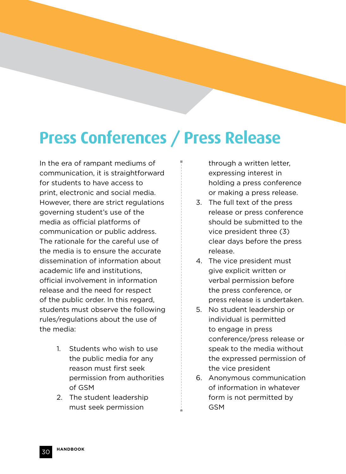# **Press Conferences / Press Release**

In the era of rampant mediums of communication, it is straightforward for students to have access to print, electronic and social media. However, there are strict regulations governing student's use of the media as official platforms of communication or public address. The rationale for the careful use of the media is to ensure the accurate dissemination of information about academic life and institutions, official involvement in information release and the need for respect of the public order. In this regard, students must observe the following rules/regulations about the use of the media:

- 1. Students who wish to use the public media for any reason must first seek permission from authorities of GSM
- 2. The student leadership must seek permission

through a written letter, expressing interest in holding a press conference or making a press release.

- 3. The full text of the press release or press conference should be submitted to the vice president three (3) clear days before the press release.
- 4. The vice president must give explicit written or verbal permission before the press conference, or press release is undertaken.
- 5. No student leadership or individual is permitted to engage in press conference/press release or speak to the media without the expressed permission of the vice president
- 6. Anonymous communication of information in whatever form is not permitted by GSM